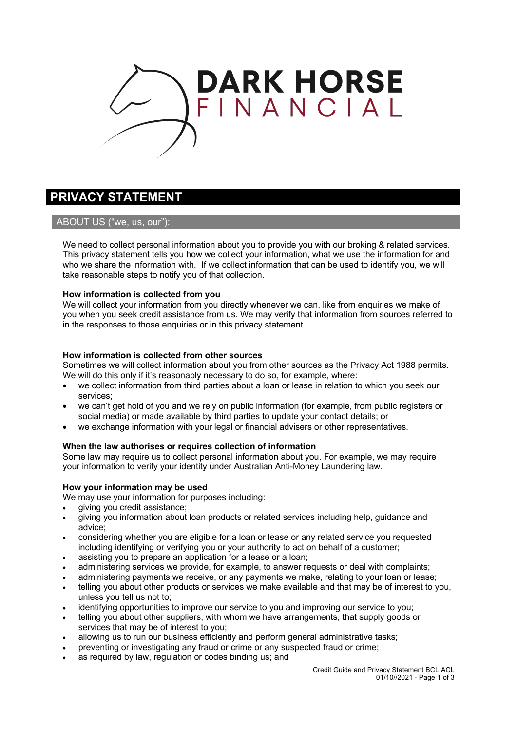

# **PRIVACY STATEMENT**

# ABOUT US ("we, us, our"):

We need to collect personal information about you to provide you with our broking & related services. This privacy statement tells you how we collect your information, what we use the information for and who we share the information with. If we collect information that can be used to identify you, we will take reasonable steps to notify you of that collection.

## **How information is collected from you**

We will collect your information from you directly whenever we can, like from enquiries we make of you when you seek credit assistance from us. We may verify that information from sources referred to in the responses to those enquiries or in this privacy statement.

## **How information is collected from other sources**

Sometimes we will collect information about you from other sources as the Privacy Act 1988 permits. We will do this only if it's reasonably necessary to do so, for example, where:

- we collect information from third parties about a loan or lease in relation to which you seek our services;
- we can't get hold of you and we rely on public information (for example, from public registers or social media) or made available by third parties to update your contact details; or
- we exchange information with your legal or financial advisers or other representatives.

## **When the law authorises or requires collection of information**

Some law may require us to collect personal information about you. For example, we may require your information to verify your identity under Australian Anti-Money Laundering law.

## **How your information may be used**

We may use your information for purposes including:

- giving you credit assistance;
- giving you information about loan products or related services including help, guidance and advice;
- considering whether you are eligible for a loan or lease or any related service you requested including identifying or verifying you or your authority to act on behalf of a customer;
- assisting you to prepare an application for a lease or a loan;
- administering services we provide, for example, to answer requests or deal with complaints;
- administering payments we receive, or any payments we make, relating to your loan or lease;
- telling you about other products or services we make available and that may be of interest to you, unless you tell us not to;
- identifying opportunities to improve our service to you and improving our service to you;
- telling you about other suppliers, with whom we have arrangements, that supply goods or services that may be of interest to you;
- allowing us to run our business efficiently and perform general administrative tasks;
- preventing or investigating any fraud or crime or any suspected fraud or crime;
- as required by law, regulation or codes binding us; and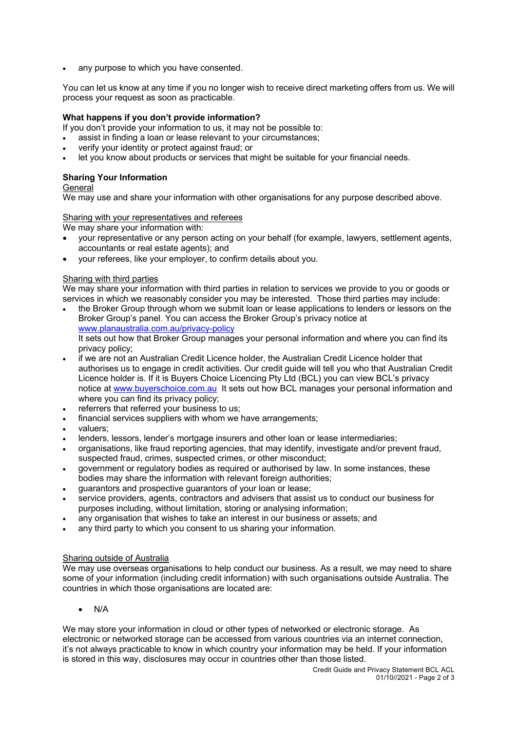any purpose to which you have consented.

You can let us know at any time if you no longer wish to receive direct marketing offers from us. We will process your request as soon as practicable.

# **What happens if you don't provide information?**

If you don't provide your information to us, it may not be possible to:

- assist in finding a loan or lease relevant to your circumstances;
- verify your identity or protect against fraud; or
- let you know about products or services that might be suitable for your financial needs.

# **Sharing Your Information**

General

We may use and share your information with other organisations for any purpose described above.

## Sharing with your representatives and referees

We may share your information with:

- your representative or any person acting on your behalf (for example, lawyers, settlement agents, accountants or real estate agents); and
- your referees, like your employer, to confirm details about you.

## Sharing with third parties

We may share your information with third parties in relation to services we provide to you or goods or services in which we reasonably consider you may be interested. Those third parties may include:

- the Broker Group through whom we submit loan or lease applications to lenders or lessors on the Broker Group's panel. You can access the Broker Group's privacy notice at www.planaustralia.com.au/privacy-policy It sets out how that Broker Group manages your personal information and where you can find its privacy policy;
- if we are not an Australian Credit Licence holder, the Australian Credit Licence holder that authorises us to engage in credit activities. Our credit guide will tell you who that Australian Credit Licence holder is. If it is Buyers Choice Licencing Pty Ltd (BCL) you can view BCL's privacy notice at www.buyerschoice.com.au It sets out how BCL manages your personal information and where you can find its privacy policy;
- referrers that referred your business to us:
- financial services suppliers with whom we have arrangements;
- valuers;
- lenders, lessors, lender's mortgage insurers and other loan or lease intermediaries;
- organisations, like fraud reporting agencies, that may identify, investigate and/or prevent fraud, suspected fraud, crimes, suspected crimes, or other misconduct;
- government or regulatory bodies as required or authorised by law. In some instances, these bodies may share the information with relevant foreign authorities;
- guarantors and prospective guarantors of your loan or lease;
- service providers, agents, contractors and advisers that assist us to conduct our business for purposes including, without limitation, storing or analysing information;
- any organisation that wishes to take an interest in our business or assets; and
- any third party to which you consent to us sharing your information.

## Sharing outside of Australia

We may use overseas organisations to help conduct our business. As a result, we may need to share some of your information (including credit information) with such organisations outside Australia. The countries in which those organisations are located are:

• N/A

We may store your information in cloud or other types of networked or electronic storage. As electronic or networked storage can be accessed from various countries via an internet connection, it's not always practicable to know in which country your information may be held. If your information is stored in this way, disclosures may occur in countries other than those listed.